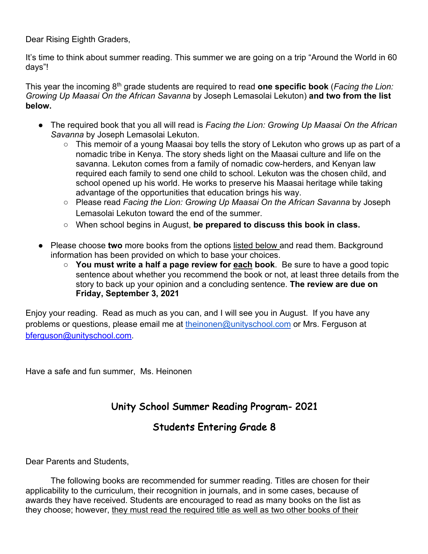Dear Rising Eighth Graders,

It's time to think about summer reading. This summer we are going on a trip "Around the World in 60 days"!

This year the incoming 8th grade students are required to read **one specific book** (*Facing the Lion: Growing Up Maasai On the African Savanna* by Joseph Lemasolai Lekuton) **and two from the list below.**

- The required book that you all will read is *Facing the Lion: Growing Up Maasai On the African Savanna* by Joseph Lemasolai Lekuton.
	- This memoir of a young Maasai boy tells the story of Lekuton who grows up as part of a nomadic tribe in Kenya. The story sheds light on the Maasai culture and life on the savanna. Lekuton comes from a family of nomadic cow-herders, and Kenyan law required each family to send one child to school. Lekuton was the chosen child, and school opened up his world. He works to preserve his Maasai heritage while taking advantage of the opportunities that education brings his way.
	- Please read *Facing the Lion: Growing Up Maasai On the African Savanna* by Joseph Lemasolai Lekuton toward the end of the summer.
	- When school begins in August, **be prepared to discuss this book in class.**
- Please choose **two** more books from the options listed below and read them. Background information has been provided on which to base your choices.
	- **You must write a half a page review for each book**. Be sure to have a good topic sentence about whether you recommend the book or not, at least three details from the story to back up your opinion and a concluding sentence. **The review are due on Friday, September 3, 2021**

Enjoy your reading. Read as much as you can, and I will see you in August. If you have any problems or questions, please email me at theinonen@unityschool.com or Mrs. Ferguson at bferguson@unityschool.com.

Have a safe and fun summer, Ms. Heinonen

# Unity School Summer Reading Program- 2021

## Students Entering Grade 8

Dear Parents and Students,

The following books are recommended for summer reading. Titles are chosen for their applicability to the curriculum, their recognition in journals, and in some cases, because of awards they have received. Students are encouraged to read as many books on the list as they choose; however, they must read the required title as well as two other books of their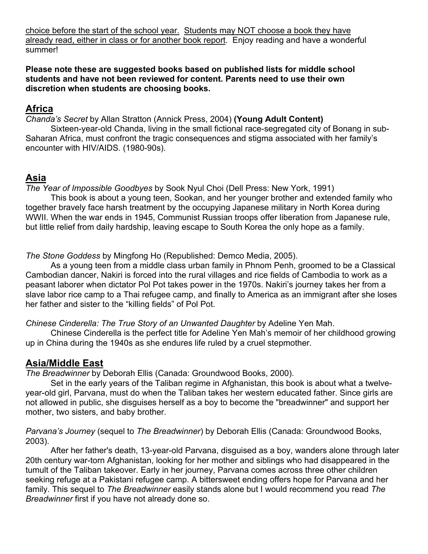choice before the start of the school year. Students may NOT choose a book they have already read, either in class or for another book report. Enjoy reading and have a wonderful summer!

**Please note these are suggested books based on published lists for middle school students and have not been reviewed for content. Parents need to use their own discretion when students are choosing books.**

### **Africa**

*Chanda's Secret* by Allan Stratton (Annick Press, 2004) **(Young Adult Content)**

Sixteen-year-old Chanda, living in the small fictional race-segregated city of Bonang in sub-Saharan Africa, must confront the tragic consequences and stigma associated with her family's encounter with HIV/AIDS. (1980-90s).

### **Asia**

*The Year of Impossible Goodbyes* by Sook Nyul Choi (Dell Press: New York, 1991)

This book is about a young teen, Sookan, and her younger brother and extended family who together bravely face harsh treatment by the occupying Japanese military in North Korea during WWII. When the war ends in 1945, Communist Russian troops offer liberation from Japanese rule, but little relief from daily hardship, leaving escape to South Korea the only hope as a family.

*The Stone Goddess* by Mingfong Ho (Republished: Demco Media, 2005).

As a young teen from a middle class urban family in Phnom Penh, groomed to be a Classical Cambodian dancer, Nakiri is forced into the rural villages and rice fields of Cambodia to work as a peasant laborer when dictator Pol Pot takes power in the 1970s. Nakiri's journey takes her from a slave labor rice camp to a Thai refugee camp, and finally to America as an immigrant after she loses her father and sister to the "killing fields" of Pol Pot.

*Chinese Cinderella: The True Story of an Unwanted Daughter* by Adeline Yen Mah.

Chinese Cinderella is the perfect title for Adeline Yen Mah's memoir of her childhood growing up in China during the 1940s as she endures life ruled by a cruel stepmother.

### **Asia/Middle East**

*The Breadwinner* by Deborah Ellis (Canada: Groundwood Books, 2000).

Set in the early years of the Taliban regime in Afghanistan, this book is about what a twelveyear-old girl, Parvana, must do when the Taliban takes her western educated father. Since girls are not allowed in public, she disguises herself as a boy to become the "breadwinner" and support her mother, two sisters, and baby brother.

*Parvana's Journey* (sequel to *The Breadwinner*) by Deborah Ellis (Canada: Groundwood Books, 2003).

After her father's death, 13-year-old Parvana, disguised as a boy, wanders alone through later 20th century war-torn Afghanistan, looking for her mother and siblings who had disappeared in the tumult of the Taliban takeover. Early in her journey, Parvana comes across three other children seeking refuge at a Pakistani refugee camp. A bittersweet ending offers hope for Parvana and her family. This sequel to *The Breadwinner* easily stands alone but I would recommend you read *The Breadwinner* first if you have not already done so.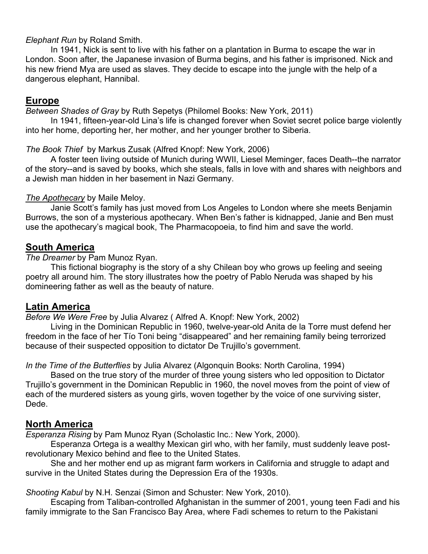#### *Elephant Run* by Roland Smith.

In 1941, Nick is sent to live with his father on a plantation in Burma to escape the war in London. Soon after, the Japanese invasion of Burma begins, and his father is imprisoned. Nick and his new friend Mya are used as slaves. They decide to escape into the jungle with the help of a dangerous elephant, Hannibal.

### **Europe**

*Between Shades of Gray* by Ruth Sepetys (Philomel Books: New York, 2011)

In 1941, fifteen-year-old Lina's life is changed forever when Soviet secret police barge violently into her home, deporting her, her mother, and her younger brother to Siberia.

### *The Book Thief* by Markus Zusak (Alfred Knopf: New York, 2006)

A foster teen living outside of Munich during WWII, Liesel Meminger, faces Death--the narrator of the story--and is saved by books, which she steals, falls in love with and shares with neighbors and a Jewish man hidden in her basement in Nazi Germany.

### *The Apothecary* by Maile Meloy.

Janie Scott's family has just moved from Los Angeles to London where she meets Benjamin Burrows, the son of a mysterious apothecary. When Ben's father is kidnapped, Janie and Ben must use the apothecary's magical book, The Pharmacopoeia, to find him and save the world.

### **South America**

### *The Dreamer* by Pam Munoz Ryan.

This fictional biography is the story of a shy Chilean boy who grows up feeling and seeing poetry all around him. The story illustrates how the poetry of Pablo Neruda was shaped by his domineering father as well as the beauty of nature.

### **Latin America**

### *Before We Were Free* by Julia Alvarez ( Alfred A. Knopf: New York, 2002)

Living in the Dominican Republic in 1960, twelve-year-old Anita de la Torre must defend her freedom in the face of her Tío Toni being "disappeared" and her remaining family being terrorized because of their suspected opposition to dictator De Trujillo's government.

*In the Time of the Butterflies* by Julia Alvarez (Algonquin Books: North Carolina, 1994)

Based on the true story of the murder of three young sisters who led opposition to Dictator Trujillo's government in the Dominican Republic in 1960, the novel moves from the point of view of each of the murdered sisters as young girls, woven together by the voice of one surviving sister, Dede.

### **North America**

*Esperanza Rising* by Pam Munoz Ryan (Scholastic Inc.: New York, 2000).

Esperanza Ortega is a wealthy Mexican girl who, with her family, must suddenly leave postrevolutionary Mexico behind and flee to the United States.

She and her mother end up as migrant farm workers in California and struggle to adapt and survive in the United States during the Depression Era of the 1930s.

### *Shooting Kabul* by N.H. Senzai (Simon and Schuster: New York, 2010).

Escaping from Taliban-controlled Afghanistan in the summer of 2001, young teen Fadi and his family immigrate to the San Francisco Bay Area, where Fadi schemes to return to the Pakistani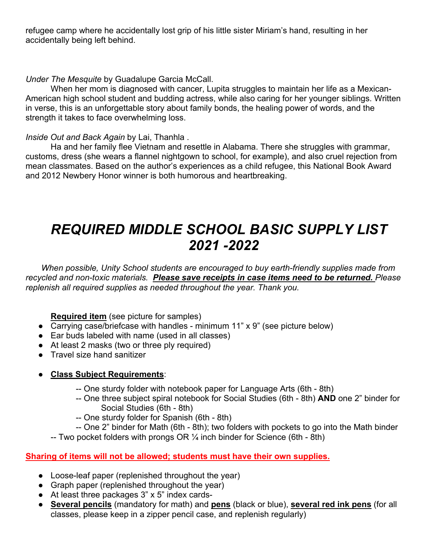refugee camp where he accidentally lost grip of his little sister Miriam's hand, resulting in her accidentally being left behind.

### *Under The Mesquite* by Guadalupe Garcia McCall.

When her mom is diagnosed with cancer, Lupita struggles to maintain her life as a Mexican-American high school student and budding actress, while also caring for her younger siblings. Written in verse, this is an unforgettable story about family bonds, the healing power of words, and the strength it takes to face overwhelming loss.

### *Inside Out and Back Again* by Lai, Thanhla .

Ha and her family flee Vietnam and resettle in Alabama. There she struggles with grammar, customs, dress (she wears a flannel nightgown to school, for example), and also cruel rejection from mean classmates. Based on the author's experiences as a child refugee, this National Book Award and 2012 Newbery Honor winner is both humorous and heartbreaking.

# *REQUIRED MIDDLE SCHOOL BASIC SUPPLY LIST 2021 -2022*

*When possible, Unity School students are encouraged to buy earth-friendly supplies made from recycled and non-toxic materials. Please save receipts in case items need to be returned. Please replenish all required supplies as needed throughout the year. Thank you.*

**Required item** (see picture for samples)

- Carrying case/briefcase with handles minimum 11" x 9" (see picture below)
- Ear buds labeled with name (used in all classes)
- At least 2 masks (two or three ply required)
- Travel size hand sanitizer

### ● **Class Subject Requirements**:

- -- One sturdy folder with notebook paper for Language Arts (6th 8th)
- -- One three subject spiral notebook for Social Studies (6th 8th) **AND** one 2" binder for Social Studies (6th - 8th)
- -- One sturdy folder for Spanish (6th 8th)
- -- One 2" binder for Math (6th 8th); two folders with pockets to go into the Math binder
- -- Two pocket folders with prongs OR  $\frac{1}{4}$  inch binder for Science (6th 8th)

### **Sharing of items will not be allowed; students must have their own supplies.**

- Loose-leaf paper (replenished throughout the year)
- Graph paper (replenished throughout the year)
- At least three packages 3" x 5" index cards-
- **Several pencils** (mandatory for math) and **pens** (black or blue), **several red ink pens** (for all classes, please keep in a zipper pencil case, and replenish regularly)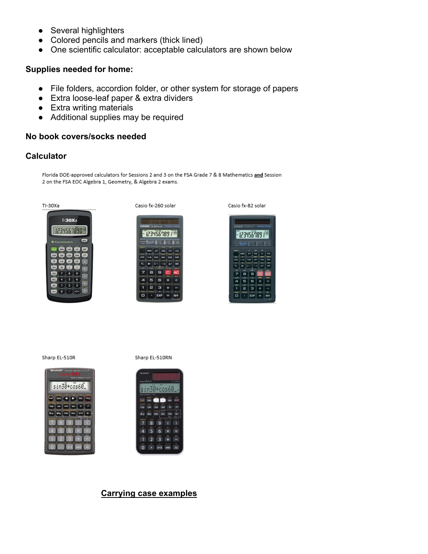- Several highlighters
- Colored pencils and markers (thick lined)
- One scientific calculator: acceptable calculators are shown below

#### **Supplies needed for home:**

- File folders, accordion folder, or other system for storage of papers
- Extra loose-leaf paper & extra dividers
- Extra writing materials
- Additional supplies may be required

#### **No book covers/socks needed**

#### **Calculator**

Florida DOE-approved calculators for Sessions 2 and 3 on the FSA Grade 7 & 8 Mathematics and Session 2 on the FSA EOC Algebra 1, Geometry, & Algebra 2 exams.



Casio fx-260 solar



Casio fx-82 solar



Sharp EL-510R







#### **Carrying case examples**